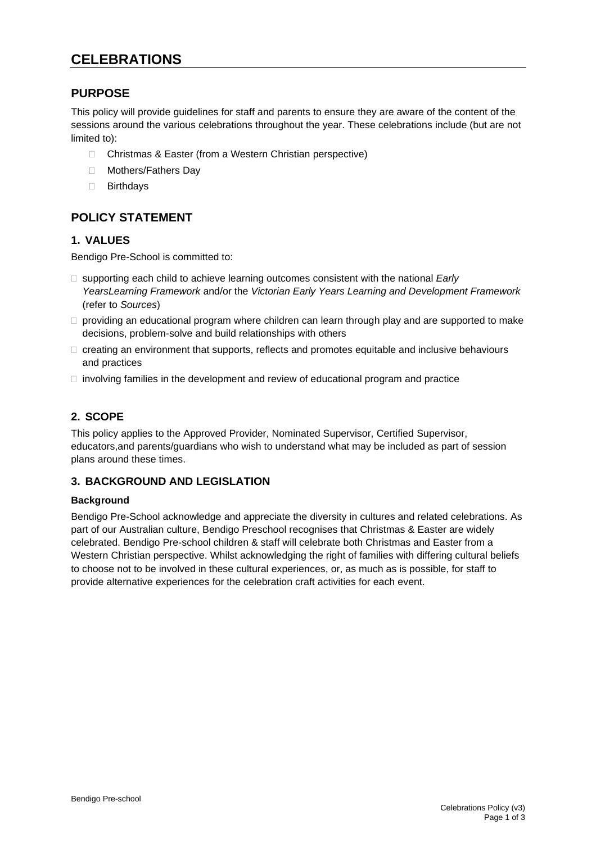# **CELEBRATIONS**

### **PURPOSE**

This policy will provide guidelines for staff and parents to ensure they are aware of the content of the sessions around the various celebrations throughout the year. These celebrations include (but are not limited to):

- □ Christmas & Easter (from a Western Christian perspective)
- □ Mothers/Fathers Day
- □ Birthdays

## **POLICY STATEMENT**

#### **1. VALUES**

Bendigo Pre-School is committed to:

- □ supporting each child to achieve learning outcomes consistent with the national *Early YearsLearning Framework* and/or the *Victorian Early Years Learning and Development Framework* (refer to *Sources*)
- $\Box$  providing an educational program where children can learn through play and are supported to make decisions, problem-solve and build relationships with others
- $\Box$  creating an environment that supports, reflects and promotes equitable and inclusive behaviours and practices
- $\Box$  involving families in the development and review of educational program and practice

#### **2. SCOPE**

This policy applies to the Approved Provider, Nominated Supervisor, Certified Supervisor, educators,and parents/guardians who wish to understand what may be included as part of session plans around these times.

#### **3. BACKGROUND AND LEGISLATION**

#### **Background**

Bendigo Pre-School acknowledge and appreciate the diversity in cultures and related celebrations. As part of our Australian culture, Bendigo Preschool recognises that Christmas & Easter are widely celebrated. Bendigo Pre-school children & staff will celebrate both Christmas and Easter from a Western Christian perspective. Whilst acknowledging the right of families with differing cultural beliefs to choose not to be involved in these cultural experiences, or, as much as is possible, for staff to provide alternative experiences for the celebration craft activities for each event.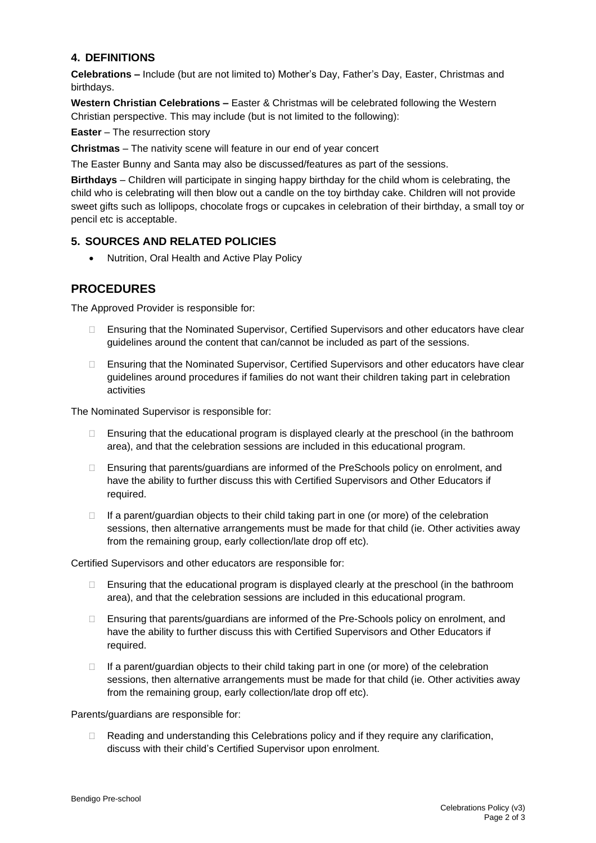#### **4. DEFINITIONS**

**Celebrations –** Include (but are not limited to) Mother's Day, Father's Day, Easter, Christmas and birthdays.

**Western Christian Celebrations –** Easter & Christmas will be celebrated following the Western Christian perspective. This may include (but is not limited to the following):

**Easter** – The resurrection story

**Christmas** – The nativity scene will feature in our end of year concert

The Easter Bunny and Santa may also be discussed/features as part of the sessions.

**Birthdays** – Children will participate in singing happy birthday for the child whom is celebrating, the child who is celebrating will then blow out a candle on the toy birthday cake. Children will not provide sweet gifts such as lollipops, chocolate frogs or cupcakes in celebration of their birthday, a small toy or pencil etc is acceptable.

#### **5. SOURCES AND RELATED POLICIES**

• Nutrition, Oral Health and Active Play Policy

#### **PROCEDURES**

The Approved Provider is responsible for:

- Ensuring that the Nominated Supervisor, Certified Supervisors and other educators have clear guidelines around the content that can/cannot be included as part of the sessions.
- □ Ensuring that the Nominated Supervisor, Certified Supervisors and other educators have clear guidelines around procedures if families do not want their children taking part in celebration activities

The Nominated Supervisor is responsible for:

- $\Box$  Ensuring that the educational program is displayed clearly at the preschool (in the bathroom area), and that the celebration sessions are included in this educational program.
- □ Ensuring that parents/guardians are informed of the PreSchools policy on enrolment, and have the ability to further discuss this with Certified Supervisors and Other Educators if required.
- $\Box$  If a parent/guardian objects to their child taking part in one (or more) of the celebration sessions, then alternative arrangements must be made for that child (ie. Other activities away from the remaining group, early collection/late drop off etc).

Certified Supervisors and other educators are responsible for:

- $\Box$  Ensuring that the educational program is displayed clearly at the preschool (in the bathroom area), and that the celebration sessions are included in this educational program.
- □ Ensuring that parents/guardians are informed of the Pre-Schools policy on enrolment, and have the ability to further discuss this with Certified Supervisors and Other Educators if required.
- $\Box$  If a parent/guardian objects to their child taking part in one (or more) of the celebration sessions, then alternative arrangements must be made for that child (ie. Other activities away from the remaining group, early collection/late drop off etc).

Parents/guardians are responsible for:

 Reading and understanding this Celebrations policy and if they require any clarification, discuss with their child's Certified Supervisor upon enrolment.